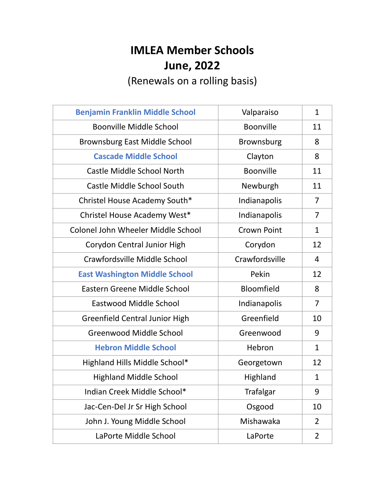## **IMLEA Member Schools June, 2022**

(Renewals on a rolling basis)

| <b>Benjamin Franklin Middle School</b> | Valparaiso         | $\mathbf{1}$   |
|----------------------------------------|--------------------|----------------|
| <b>Boonville Middle School</b>         | <b>Boonville</b>   | 11             |
| <b>Brownsburg East Middle School</b>   | <b>Brownsburg</b>  | 8              |
| <b>Cascade Middle School</b>           | Clayton            | 8              |
| Castle Middle School North             | <b>Boonville</b>   | 11             |
| <b>Castle Middle School South</b>      | Newburgh           | 11             |
| Christel House Academy South*          | Indianapolis       | 7              |
| Christel House Academy West*           | Indianapolis       | 7              |
| Colonel John Wheeler Middle School     | <b>Crown Point</b> | $\mathbf{1}$   |
| Corydon Central Junior High            | Corydon            | 12             |
| Crawfordsville Middle School           | Crawfordsville     | $\overline{4}$ |
| <b>East Washington Middle School</b>   | Pekin              | 12             |
| Eastern Greene Middle School           | Bloomfield         | 8              |
| Eastwood Middle School                 | Indianapolis       | 7              |
| <b>Greenfield Central Junior High</b>  | Greenfield         | 10             |
| <b>Greenwood Middle School</b>         | Greenwood          | 9              |
| <b>Hebron Middle School</b>            | Hebron             | $\mathbf{1}$   |
| Highland Hills Middle School*          | Georgetown         | 12             |
| <b>Highland Middle School</b>          | Highland           | $\mathbf{1}$   |
| Indian Creek Middle School*            | <b>Trafalgar</b>   | 9              |
| Jac-Cen-Del Jr Sr High School          | Osgood             | 10             |
| John J. Young Middle School            | Mishawaka          | 2              |
| LaPorte Middle School                  | LaPorte            | $\overline{2}$ |